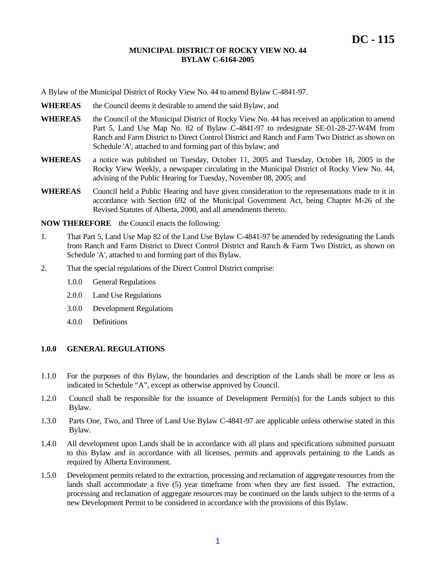A Bylaw of the Municipal District of Rocky View No. 44 to amend Bylaw C-4841-97.

- WHEREAS the Council deems it desirable to amend the said Bylaw, and
- WHEREAS the Council of the Municipal District of Rocky View No. 44 has received an application to amend Part 5, Land Use Map No. 82 of Bylaw C-4841-97 to redesignate SE-01-28-27-W4M from Ranch and Farm District to Direct Control District and Ranch and Farm Two District as shown on Schedule 'A', attached to and forming part of this bylaw; and
- **WHEREAS** a notice was published on Tuesday, October 11, 2005 and Tuesday, October 18, 2005 in the Rocky View Weekly, a newspaper circulating in the Municipal District of Rocky View No. 44, advising of the Public Hearing for Tuesday, November 08, 2005; and
- **WHEREAS** Council held a Public Hearing and have given consideration to the representations made to it in accordance with Section 692 of the Municipal Government Act, being Chapter M-26 of the Revised Statutes of Alberta, 2000, and all amendments thereto.

**NOW THEREFORE** the Council enacts the following:

- 1. That Part 5, Land Use Map 82 of the Land Use Bylaw C-4841-97 be amended by redesignating the Lands from Ranch and Farm District to Direct Control District and Ranch & Farm Two District, as shown on Schedule 'A', attached to and forming part of this Bylaw.
- 2. That the special regulations of the Direct Control District comprise:
	- 1.0.0 General Regulations
	- 2.0.0 Land Use Regulations
	- 3.0.0 Development Regulations
	- 4.0.0 Definitions

# **1.0.0 GENERAL REGULATIONS**

- 1.1.0 For the purposes of this Bylaw, the boundaries and description of the Lands shall be more or less as indicated in Schedule "A", except as otherwise approved by Council.
- 1.2.0 Council shall be responsible for the issuance of Development Permit(s) for the Lands subject to this Bylaw.
- 1.3.0 Parts One, Two, and Three of Land Use Bylaw C-4841-97 are applicable unless otherwise stated in this Bylaw.
- 1.4.0 All development upon Lands shall be in accordance with all plans and specifications submitted pursuant to this Bylaw and in accordance with all licenses, permits and approvals pertaining to the Lands as required by Alberta Environment.
- 1.5.0 Development permits related to the extraction, processing and reclamation of aggregate resources from the lands shall accommodate a five (5) year timeframe from when they are first issued. The extraction, processing and reclamation of aggregate resources may be continued on the lands subject to the terms of a new Development Permit to be considered in accordance with the provisions of this Bylaw.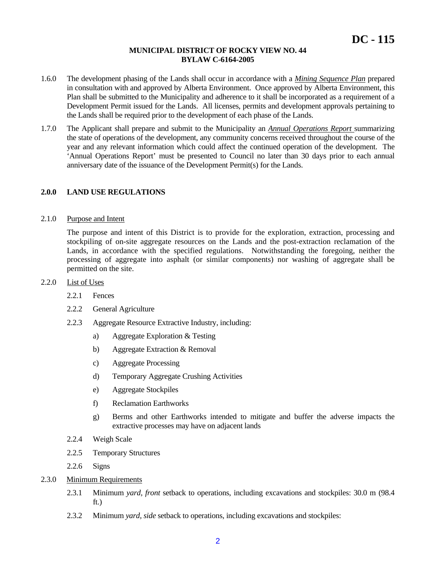- 1.6.0 The development phasing of the Lands shall occur in accordance with a *Mining Sequence Plan* prepared in consultation with and approved by Alberta Environment. Once approved by Alberta Environment, this Plan shall be submitted to the Municipality and adherence to it shall be incorporated as a requirement of a Development Permit issued for the Lands. All licenses, permits and development approvals pertaining to the Lands shall be required prior to the development of each phase of the Lands.
- 1.7.0 The Applicant shall prepare and submit to the Municipality an *Annual Operations Report* summarizing the state of operations of the development, any community concerns received throughout the course of the year and any relevant information which could affect the continued operation of the development. The 'Annual Operations Report' must be presented to Council no later than 30 days prior to each annual anniversary date of the issuance of the Development Permit(s) for the Lands.

## **2.0.0 LAND USE REGULATIONS**

#### 2.1.0 Purpose and Intent

The purpose and intent of this District is to provide for the exploration, extraction, processing and stockpiling of on-site aggregate resources on the Lands and the post-extraction reclamation of the Lands, in accordance with the specified regulations. Notwithstanding the foregoing, neither the processing of aggregate into asphalt (or similar components) nor washing of aggregate shall be permitted on the site.

#### 2.2.0 List of Uses

- 2.2.1 Fences
- 2.2.2 General Agriculture
- 2.2.3 Aggregate Resource Extractive Industry, including:
	- a) Aggregate Exploration & Testing
	- b) Aggregate Extraction & Removal
	- c) Aggregate Processing
	- d) Temporary Aggregate Crushing Activities
	- e) Aggregate Stockpiles
	- f) Reclamation Earthworks
	- g) Berms and other Earthworks intended to mitigate and buffer the adverse impacts the extractive processes may have on adjacent lands
- 2.2.4 Weigh Scale
- 2.2.5 Temporary Structures
- 2.2.6 Signs
- 2.3.0 Minimum Requirements
	- 2.3.1 Minimum *yard, front* setback to operations, including excavations and stockpiles: 30.0 m (98.4 ft.)
	- 2.3.2 Minimum *yard, side* setback to operations, including excavations and stockpiles: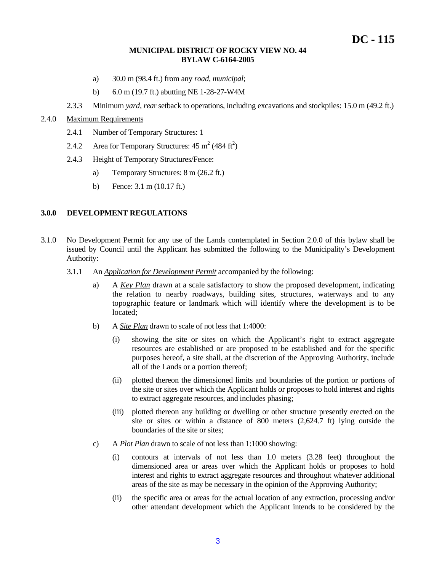- a) 30.0 m (98.4 ft.) from any *road, municipal*;
- b) 6.0 m (19.7 ft.) abutting NE 1-28-27-W4M
- 2.3.3 Minimum *yard, rea*r setback to operations, including excavations and stockpiles: 15.0 m (49.2 ft.)

# 2.4.0 Maximum Requirements

- 2.4.1 Number of Temporary Structures: 1
- 2.4.2 Area for Temporary Structures:  $45 \text{ m}^2 (484 \text{ ft}^2)$
- 2.4.3 Height of Temporary Structures/Fence:
	- a) Temporary Structures: 8 m (26.2 ft.)
	- b) Fence: 3.1 m (10.17 ft.)

#### **3.0.0 DEVELOPMENT REGULATIONS**

- 3.1.0 No Development Permit for any use of the Lands contemplated in Section 2.0.0 of this bylaw shall be issued by Council until the Applicant has submitted the following to the Municipality's Development Authority:
	- 3.1.1 An *Application for Development Permit* accompanied by the following:
		- a) A *Key Plan* drawn at a scale satisfactory to show the proposed development, indicating the relation to nearby roadways, building sites, structures, waterways and to any topographic feature or landmark which will identify where the development is to be located;
		- b) A *Site Plan* drawn to scale of not less that 1:4000:
			- (i) showing the site or sites on which the Applicant's right to extract aggregate resources are established or are proposed to be established and for the specific purposes hereof, a site shall, at the discretion of the Approving Authority, include all of the Lands or a portion thereof;
			- (ii) plotted thereon the dimensioned limits and boundaries of the portion or portions of the site or sites over which the Applicant holds or proposes to hold interest and rights to extract aggregate resources, and includes phasing;
			- (iii) plotted thereon any building or dwelling or other structure presently erected on the site or sites or within a distance of 800 meters (2,624.7 ft) lying outside the boundaries of the site or sites;
		- c) A *Plot Plan* drawn to scale of not less than 1:1000 showing:
			- (i) contours at intervals of not less than 1.0 meters (3.28 feet) throughout the dimensioned area or areas over which the Applicant holds or proposes to hold interest and rights to extract aggregate resources and throughout whatever additional areas of the site as may be necessary in the opinion of the Approving Authority;
			- (ii) the specific area or areas for the actual location of any extraction, processing and/or other attendant development which the Applicant intends to be considered by the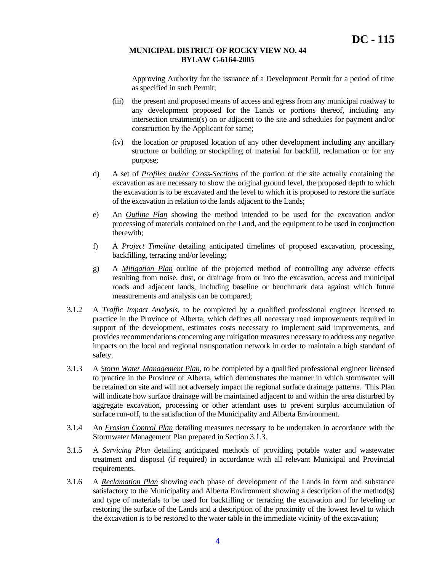Approving Authority for the issuance of a Development Permit for a period of time as specified in such Permit;

- (iii) the present and proposed means of access and egress from any municipal roadway to any development proposed for the Lands or portions thereof, including any intersection treatment(s) on or adjacent to the site and schedules for payment and/or construction by the Applicant for same;
- (iv) the location or proposed location of any other development including any ancillary structure or building or stockpiling of material for backfill, reclamation or for any purpose;
- d) A set of *Profiles and/or Cross-Sections* of the portion of the site actually containing the excavation as are necessary to show the original ground level, the proposed depth to which the excavation is to be excavated and the level to which it is proposed to restore the surface of the excavation in relation to the lands adjacent to the Lands;
- e) An *Outline Plan* showing the method intended to be used for the excavation and/or processing of materials contained on the Land, and the equipment to be used in conjunction therewith;
- f) A *Project Timeline* detailing anticipated timelines of proposed excavation, processing, backfilling, terracing and/or leveling;
- g) A *Mitigation Plan* outline of the projected method of controlling any adverse effects resulting from noise, dust, or drainage from or into the excavation, access and municipal roads and adjacent lands, including baseline or benchmark data against which future measurements and analysis can be compared;
- 3.1.2 A *Traffic Impact Analysis,* to be completed by a qualified professional engineer licensed to practice in the Province of Alberta, which defines all necessary road improvements required in support of the development, estimates costs necessary to implement said improvements, and provides recommendations concerning any mitigation measures necessary to address any negative impacts on the local and regional transportation network in order to maintain a high standard of safety.
- 3.1.3 A *Storm Water Management Plan*, to be completed by a qualified professional engineer licensed to practice in the Province of Alberta, which demonstrates the manner in which stormwater will be retained on site and will not adversely impact the regional surface drainage patterns. This Plan will indicate how surface drainage will be maintained adjacent to and within the area disturbed by aggregate excavation, processing or other attendant uses to prevent surplus accumulation of surface run-off, to the satisfaction of the Municipality and Alberta Environment.
- 3.1.4 An *Erosion Control Plan* detailing measures necessary to be undertaken in accordance with the Stormwater Management Plan prepared in Section 3.1.3.
- 3.1.5 A *Servicing Plan* detailing anticipated methods of providing potable water and wastewater treatment and disposal (if required) in accordance with all relevant Municipal and Provincial requirements.
- 3.1.6 A *Reclamation Plan* showing each phase of development of the Lands in form and substance satisfactory to the Municipality and Alberta Environment showing a description of the method(s) and type of materials to be used for backfilling or terracing the excavation and for leveling or restoring the surface of the Lands and a description of the proximity of the lowest level to which the excavation is to be restored to the water table in the immediate vicinity of the excavation;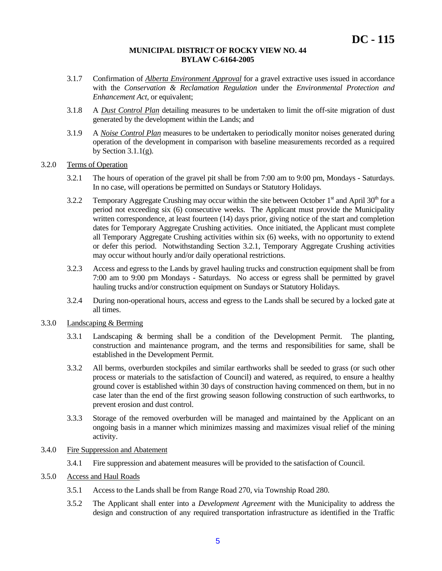- 3.1.7 Confirmation of *Alberta Environment Approval* for a gravel extractive uses issued in accordance with the *Conservation & Reclamation Regulation* under the *Environmental Protection and Enhancement Act*, or equivalent:
- 3.1.8 A *Dust Control Plan* detailing measures to be undertaken to limit the off-site migration of dust generated by the development within the Lands; and
- 3.1.9 A *Noise Control Plan* measures to be undertaken to periodically monitor noises generated during operation of the development in comparison with baseline measurements recorded as a required by Section  $3.1.1(g)$ .

## 3.2.0 Terms of Operation

- 3.2.1 The hours of operation of the gravel pit shall be from 7:00 am to 9:00 pm, Mondays Saturdays. In no case, will operations be permitted on Sundays or Statutory Holidays.
- 3.2.2 Temporary Aggregate Crushing may occur within the site between October  $1<sup>st</sup>$  and April 30<sup>th</sup> for a period not exceeding six (6) consecutive weeks. The Applicant must provide the Municipality written correspondence, at least fourteen (14) days prior, giving notice of the start and completion dates for Temporary Aggregate Crushing activities. Once initiated, the Applicant must complete all Temporary Aggregate Crushing activities within six (6) weeks, with no opportunity to extend or defer this period. Notwithstanding Section 3.2.1, Temporary Aggregate Crushing activities may occur without hourly and/or daily operational restrictions.
- 3.2.3 Access and egress to the Lands by gravel hauling trucks and construction equipment shall be from 7:00 am to 9:00 pm Mondays - Saturdays. No access or egress shall be permitted by gravel hauling trucks and/or construction equipment on Sundays or Statutory Holidays.
- 3.2.4 During non-operational hours, access and egress to the Lands shall be secured by a locked gate at all times.

#### 3.3.0 Landscaping & Berming

- 3.3.1 Landscaping & berming shall be a condition of the Development Permit. The planting, construction and maintenance program, and the terms and responsibilities for same, shall be established in the Development Permit.
- 3.3.2 All berms, overburden stockpiles and similar earthworks shall be seeded to grass (or such other process or materials to the satisfaction of Council) and watered, as required, to ensure a healthy ground cover is established within 30 days of construction having commenced on them, but in no case later than the end of the first growing season following construction of such earthworks, to prevent erosion and dust control.
- 3.3.3 Storage of the removed overburden will be managed and maintained by the Applicant on an ongoing basis in a manner which minimizes massing and maximizes visual relief of the mining activity.

# 3.4.0 Fire Suppression and Abatement

3.4.1 Fire suppression and abatement measures will be provided to the satisfaction of Council.

# 3.5.0 Access and Haul Roads

- 3.5.1 Access to the Lands shall be from Range Road 270, via Township Road 280.
- 3.5.2 The Applicant shall enter into a *Development Agreement* with the Municipality to address the design and construction of any required transportation infrastructure as identified in the Traffic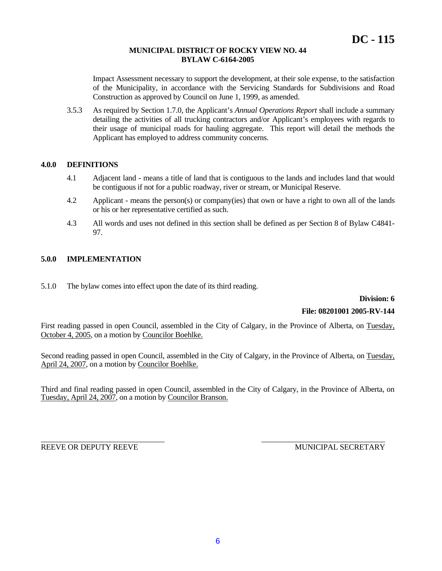Impact Assessment necessary to support the development, at their sole expense, to the satisfaction of the Municipality, in accordance with the Servicing Standards for Subdivisions and Road Construction as approved by Council on June 1, 1999, as amended.

3.5.3 As required by Section 1.7.0, the Applicant's *Annual Operations Report* shall include a summary detailing the activities of all trucking contractors and/or Applicant's employees with regards to their usage of municipal roads for hauling aggregate. This report will detail the methods the Applicant has employed to address community concerns.

### **4.0.0 DEFINITIONS**

- 4.1 Adjacent land means a title of land that is contiguous to the lands and includes land that would be contiguous if not for a public roadway, river or stream, or Municipal Reserve.
- 4.2 Applicant means the person(s) or company(ies) that own or have a right to own all of the lands or his or her representative certified as such.
- 4.3 All words and uses not defined in this section shall be defined as per Section 8 of Bylaw C4841- 97.

## **5.0.0 IMPLEMENTATION**

5.1.0 The bylaw comes into effect upon the date of its third reading.

**Division: 6** 

#### **File: 08201001 2005-RV-144**

First reading passed in open Council, assembled in the City of Calgary, in the Province of Alberta, on Tuesday, October 4, 2005, on a motion by Councilor Boehlke.

Second reading passed in open Council, assembled in the City of Calgary, in the Province of Alberta, on Tuesday, April 24, 2007, on a motion by Councilor Boehlke.

Third and final reading passed in open Council, assembled in the City of Calgary, in the Province of Alberta, on Tuesday, April 24, 2007, on a motion by Councilor Branson.

REEVE OR DEPUTY REEVE WELL ASSESSED A MUNICIPAL SECRETARY

\_\_\_\_\_\_\_\_\_\_\_\_\_\_\_\_\_\_\_\_\_\_\_\_\_\_\_\_\_\_\_\_ \_\_\_\_\_\_\_\_\_\_\_\_\_\_\_\_\_\_\_\_\_\_\_\_\_\_\_\_\_\_\_\_